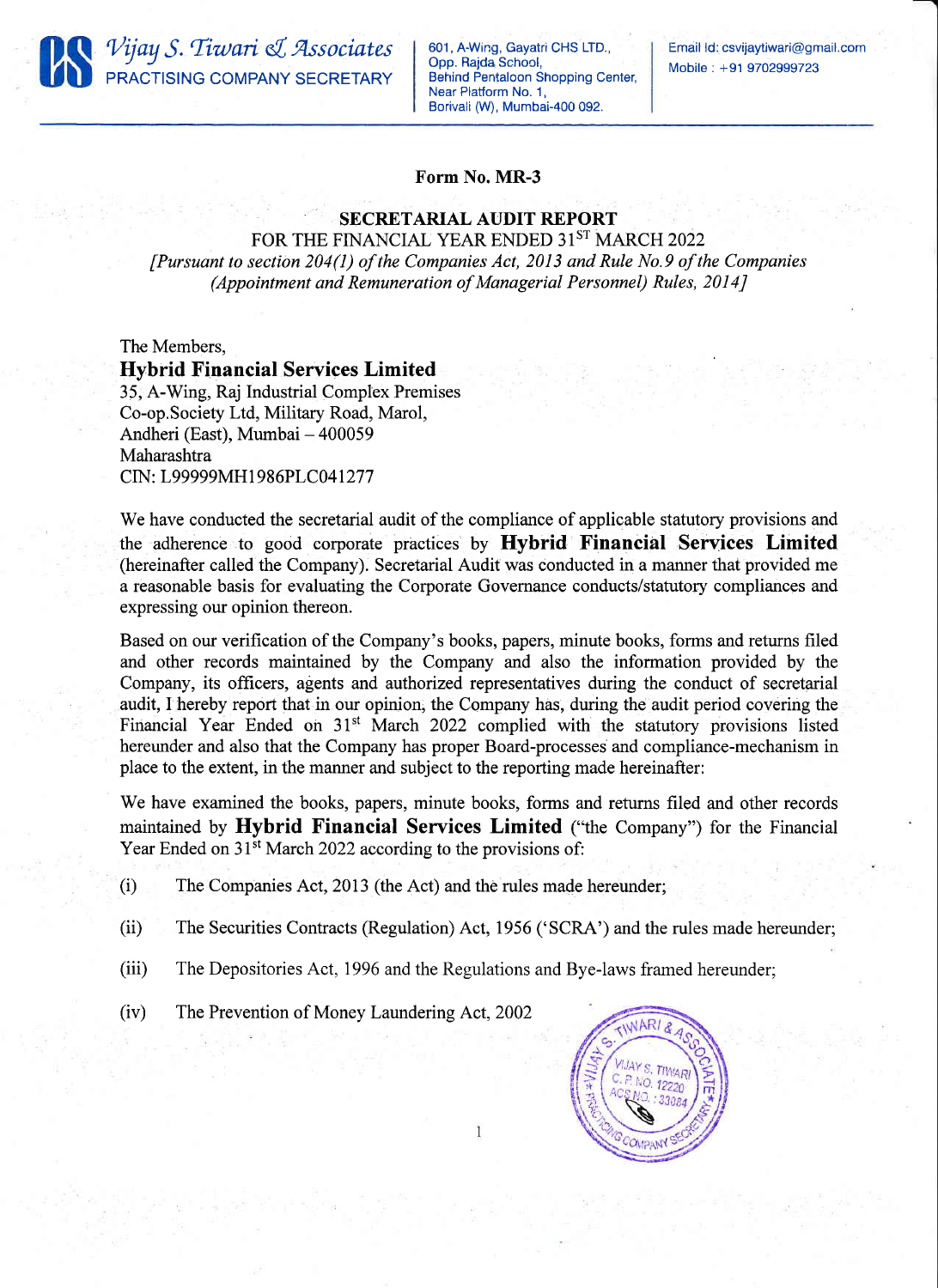

601, A-Wing, Gayatri CHS LTD., Opp. Rajda School, Behind Pentaloon Shopping Center, Near Platform No. 1, Borivali (W), Mumbai-400 092.

## Form No. MR-3

## SECRETARIAL AUDIT REPORT

FOR THE FINANCIAL YEAR ENDED 31ST MARCH 2022 [Pursuant to section 204(1) of the Companies Act, 2013 and Rule No.9 of the Companies (Appointment and Remuneration of Managerial Personnel) Rules, 2014J

The Members, Hybrid Financial Services Limited 35, A-Wing, Raj Industrial Complex Premises Co-op.Society Ltd, Military Road, Marol, Andheri (East), Mumbai - 400059 Maharashtra CIN: L99999MH1986PLC041277

We have conducted the secretarial audit of the compliance of applicable statutory provisions and the adherence to good corporate practices' by Hybrid Financial Services Limited (hereinafter called the Company). Secretarial Audit was conducted in a manner that provided me a reasonable basis for evaluating the Corporate Governance conducts/statutory compliances and expressing our opinion thereon.

Based on our verification of the Company's books, papers, minute books, forms and returns filed and other records maintained by the Company and also the information provided by the Company, its officers, agents and authorized representatives during the conduct of secretarial audit, I hereby report that in our opinion; the Company has, during the audit period covering the Financial Year Ended on 31<sup>st</sup> March 2022 complied with the statutory provisions listed hereunder and also that the Company has proper Board-processes and compliance-mechanism in place to the extent, in the manner and subject to the reporting made hereinafter:

We have examined the books, papers, minute books, forms and returns filed and other records maintained by Hybrid Financial Services Limited ("the Company") for the Financial Year Ended on 31<sup>st</sup> March 2022 according to the provisions of:

- (i) The Companies Act, 2013 (the Act) and the rules made hereunder;
- (ii) The Securities Contracts (Regulation) Act, 1956 ('SCRA') and the rules made hereunder;
- (iii) The Depositories Act, 1996 and the Regulations and Bye-laws framed hereunder;
- (iv) The Prevention of Money Laundering Act, 2002

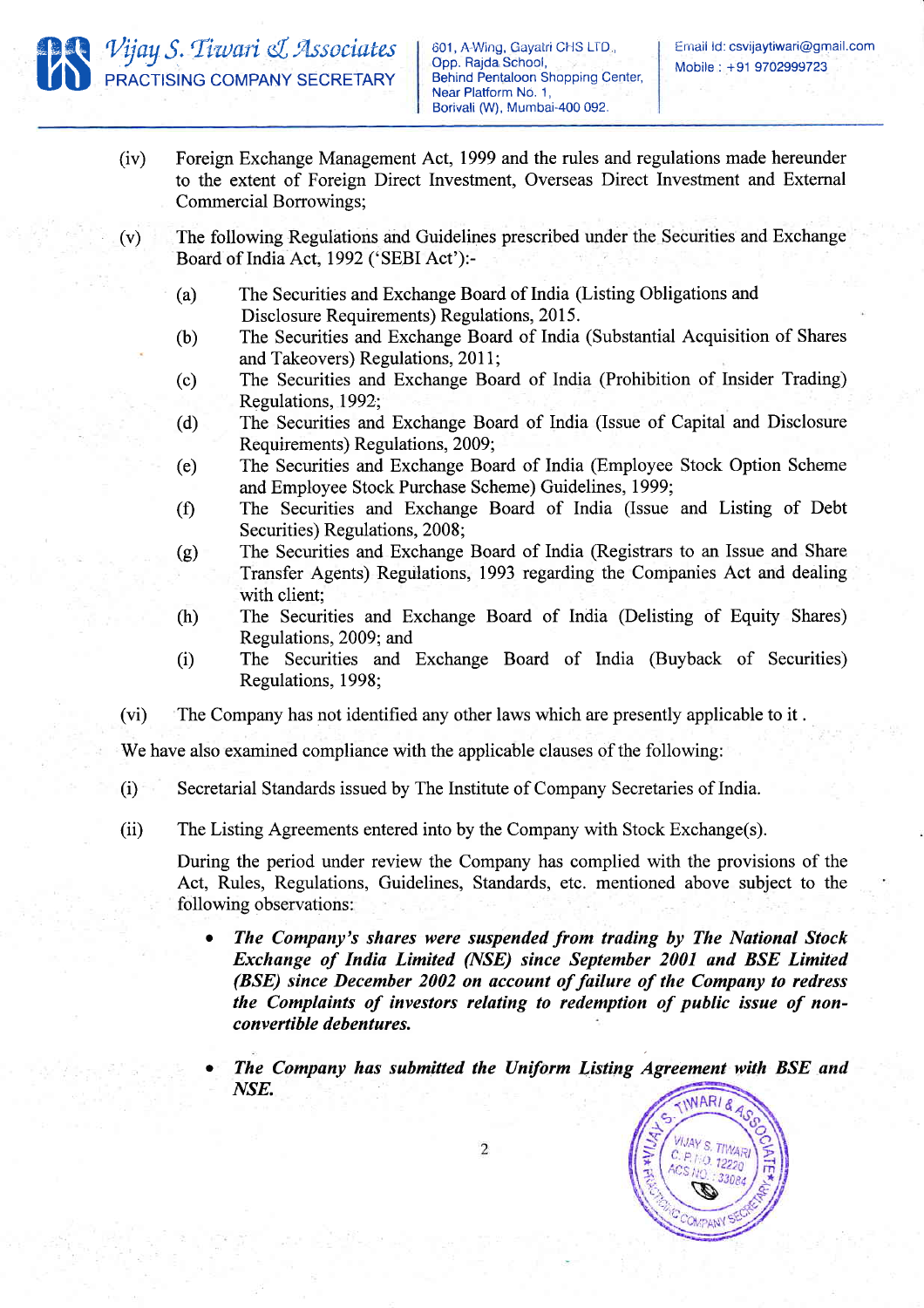

- (iv) Foreign Exchange Management Act, 1999 and the rules and regulations made hereunder to the extent of Foreign Direct Investment, Overseas Direct Investment and Extemal Commercial Borrowings;
- The following Regulations and Guidelines prescribed under the Securities and Exchange Board of India Act, 1992 ('SEBI Act'):-(v)
	- (a) The Securities and Exchange Board of India (Listing Obligations and Disclosure Requirements) Regulations, 2015.
	- (b) The Securities and Exchange Board of India (Substantial Acquisition of Shares and Takeovers) Regulations, 2011;
	- (c) The Securities and Exchange Board of India (Prohibition of Insider Trading) Regulations, 1992;
	- (d) The Securities and Exchange Board of India (Issue of Capital and Disclosure Requirements) Regulations, 2009;
	- (e) The Securities and Exchange Board of India (Employee Stock Option Scheme and Employee Stock Purchase Scheme) Guidelines,1999;
	- (0 The Securities and Exchange Board of India (Issue and Listing of Debt Securities) Regulations, 2008;
	- (g) The Securities and Exchange Board of India (Registrars to an Issue and Share Transfer Agents) Regulations, 1993 regarding the Companies Act and dealing with client:
	- (h) The Securities and Exchange Board of India (Delisting of Equity Shares) Regulations,2009; and
	- (i) The Securities and Exchange Board of India (Buyback of Securities) Regulations, 1998;
- (vi) The Company has not identified any other laws which are presently applicable to it .

We have also examined compliance with the applicable clauses of the following:

- (i) Secretarial Standards issued by The Institute of Company Secretaries of India.
- (ii) The Listing Agreements entered into by the Company with Stock Exchange(s).

During the period under review the Company has complied with the provisions of the Act, Rules, Regulations, Guidelines, Standards, etc. mentioned above subject to the following observations:

- The Company's shares were suspended from trading by The National Stock Exchange of India Limited QVSE) since September 2001 and BSE Limited (BSE) since December 2002 on account of failure of the Company to redress the Complaints of investors relating to redemption of public issue of nonconvertible debentures.
- The Company has submitted the Uniform Listing Agreement with BSE and NSE.